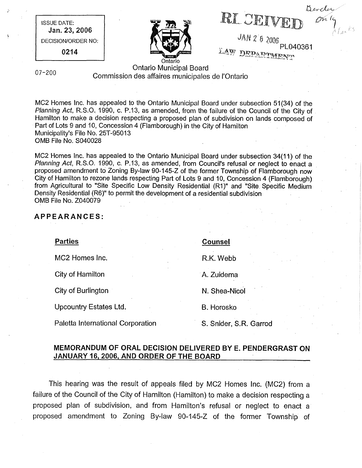$\frac{\partial u}{\partial n}$ RI CEIVEI

JAN 2 6 2006 LAW DEDAMINTENTS

ISSUE DATE:

Jan. 23, 2006 DECISION/ORDER NO: 0214

Ontario Municipal Board 07-200 Commission des affaires municipales de I'Ontario

Ontario

MC2 Homes Inc. has appealed to the Ontario Municipal Board under subsection 51(34) of the Planning Act, R.S.O. 1990, c. P.13, as amended, from the failure of the Council of the City of Hamilton to make a decision respecting a proposed plan of subdivision on lands composed of Part of Lots 9 and 10, Concession 4 (Flamborough) in the City of Hamilton Municipality's File No. 25T-95013 OMB File No. S040028

MC2 Homes Inc. has appealed to the Ontario Municipal Board under subsection 34(11) of the Planning Act, R.S.O. 1990, c. P.13, as amended, from Council's refusal or neglect to enact a proposed amendment to Zoning By-law 90-145-Z of the former Township of Flamborough now City of Hamilton to rezone lands respecting Part of Lots 9 and 10, Concession 4 (Flamborough) from Agricultural to "Site Specific Low Density Residential (R1)" and "Site Specific Medium Density Residential (R6)" to permit the development of a residential subdivision OMB File No. Z040079

#### APPEARANCES:

MC2 Homes Inc. **R.K. Webb** 

City of Hamilton

City of Burlington

Upcountry Estates Ltd.

Paletta International Corporation

estates and the counsel of the counsel of the counsel of the counsel of the counsel of the counsel of the counsel of the counsel of the counsel of the counsel of the counsel of the counsel of the counsel of the counsel of

A. Zuidema

N. Shea-Nic01

B. Horosko

S. Snider, S.R. Garrod

### MEMORANDUM OF ORAL DECISION DELIVERED BY E. PENDERGRAST ON JANUARY 16, 2006, AND ORDER OF THE BOARD

This hearing was the result of appeals filed by MC2 Homes Inc. (MC2) from a failure of the Council of the City of Hamilton (Hamilton) to make a decision respecting a proposed plan of subdivision, and from Hamilton's refusal or neglect to enact a proposed amendment to Zoning By-law 90-145-Z of the former Township of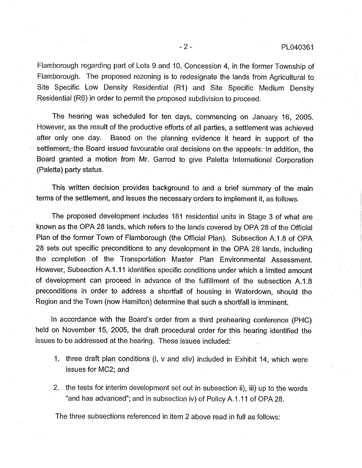Flamborough regarding part of Lots 9 and 10, Concession 4, in the former Township of Flamborough. The proposed rezoning is to redesignate the lands from Agricultural to Site Specific Low Density Residential (R1) and Site Specific Medium Density Residential (R6) in order to permit the proposed subdivision to proceed.

The hearing was scheduled for ten days, commencing on January 16, 2005. However, as the result of the productive efforts of all parties, a settlement was achieved after only one day. Based on the planning evidence it heard in support of the settlement, the Board issued favourable oral decisions on the appeals. In addition, the Board granted a motion from Mr. Garrod to give Paletta International Corporation (Paletta) party status.

This written decision provides background to and a brief summary of the main terms of the settlement, and issues the necessary orders to implement it, as follows.

The proposed development includes 181 residential units in Stage 3 of what are known as the OPA 28 lands, which refers to the lands covered by OPA 28 of the Official Plan of the former Town of Flamborough (the Official Plan). Subsection A.1.8 of OPA 28 sets out specific preconditions to any development in the OPA 28 lands, including the completion of the Transportation Master Plan Environmental Assessment. However, Subsection A.1.11 identifies specific conditions under which a limited amount of development can proceed in advance of the fulfillment of the subsection A.1.8 preconditions in order to address a shortfall of housing in Waterdown, should the Region and the Town (now Hamilton) determine that such a shortfall is imminent.

In accordance with the Board's order from a third prehearing conference (PHC) held on November 15, 2005, the draft procedural order for this hearing identified the issues to be addressed at the hearing. These issues included:

- 1. three draft plan conditions (i, v and xliv) included in Exhibit 14, which were issues for MC2; and
- 2. the tests for interim development set out in subsection ii), iii) up to the words "and has advanced"; and in subsection iv) of Policy A.1.11 of OPA 28.

The three subsections referenced in item 2 above read in full as follows: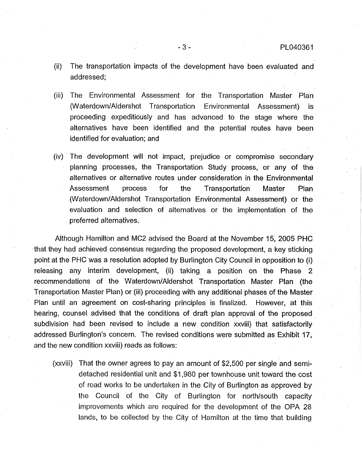- (ii) The transportation impacts of the development have been evaluated and addressed;
- (iii) The Environmental Assessment for the Transportation Master Plan (Waterdown/Aldershot Transportation Environmental Assessment) is proceeding expeditiously and has advanced to the stage where the alternatives have been identified and the potential routes have been identified for evaluation; and
- (iv) The development will not impact, prejudice or compromise secondary planning processes, the Transportation Study process, or any of the alternatives or alternative routes under consideration in the Environmental Assessment process for the Transportation Master Plan (Waterdown/Aldershot Transportation Environmental Assessment) or the evaluation and selection of alternatives or the implementation of the preferred alternatives.

Although Hamilton and MC2 advised the Board at the November 15, 2005 PHC that they had achieved consensus regarding the proposed development, a key sticking point at the PHC was a resolution adopted by Burlington City Council in opposition to (i) releasing any interim development, (ii) taking a position on the Phase 2 recommendations of the Waterdown/Aldershot Transportation Master Plan (the Transportation Master Plan) or (iii) proceeding with any additional phases of the Master Plan until an agreement on cost-sharing principles is finalized. However, at this hearing, counsel advised that the conditions of draft plan approval of the proposed subdivision had been revised to include a new condition xxviii) that satisfactorily addressed Burlington's concern. The revised conditions were submitted as Exhibit 17, and the new condition xxviii) reads as follows:

(xxviii) That the owner agrees to pay an amount of \$2,500 per single and semidetached residential unit and \$1,980 per townhouse unit toward the cost of road works to be undertaken in the City of Burlington as approved by the Council of the City of Burlington for north/south capacity improvements which are required for the development of the OPA 28 lands, to be collected by the City of Hamilton at the time that building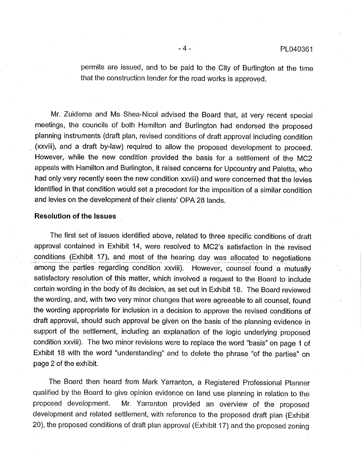permits are issued, and to be paid to the City of Burlington at the time that the construction tender for the road works is approved.

Mr. Zuidema and Ms Shea-Nicol advised the Board that, at very recent special meetings, the councils of both Hamilton and Burlington had endorsed the proposed planning instruments (draft plan, revised conditions of draft approval including condition .(xxviii), and a draft by-law) required to allow the proposed development to proceed. However, while the new condition provided the basis for a settlement of the MC2 appeals with Hamilton and Burlington, it raised concerns for Upcountry and Paletta, who had only very recently seen the new condition xxviii) and were concerned that the levies identified in that condition would set a precedent for the imposition of a similar condition and levies on the development of their clients' OPA 28 lands.

#### Resolution of the Issues

The first set of issues identified above, related to three specific conditions of draft approval contained in Exhibit 14, were resolved to MC2's satisfaction in the revised conditions (Exhibit 17), and most of the hearing day was allocated to negotiations among the parties regarding condition xxviii). However, counsel found a mutually satisfactory resolution of this matter, which involved a request to the Board to include certain wording in the body of its decision, as set out in Exhibit 18. The Board reviewed the wording, and, with two very minor changes that were agreeable to all counsel, found the wording appropriate for inclusion in a decision to approve the revised conditions of draft approval, should such approval be given on the basis of the planning evidence in support of the settlement, including an explanation of the logic underlying proposed condition xxviii). The two minor revisions were to replace the word "basis" on page 1 of Exhibit 18 with the word "understanding" and to delete the phrase "of the parties" on page 2 of the exhibit.

The Board then heard from Mark Yarranton, a Registered Professional Planner qualified by the Board to give opinion evidence on land use planning in relation to the proposed development. Mr. Yarranton provided an overview of the proposed development and related settlement, with reference to the proposed draft plan (Exhibit 20), the proposed conditions of draft plan approval (Exhibit 17) and the proposed zoning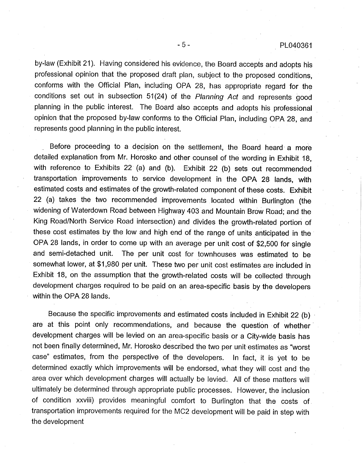by-law (Exhibit 21). Having considered his evidence, the Board accepts and adopts his professional opinion that the proposed draft plan, subject to the proposed conditions, conforms with the Official Plan, including OPA 28, has appropriate regard for the conditions set out in subsection 51(24) of the Planning Act and represents good planning in the public interest. The Board also accepts and adopts his professional opinion that the proposed by-law conforms to the Official Plan, including OPA 28, and represents good planning in the public interest.

Before proceeding to a decision on the settlement, the Board heard a more detailed explanation from Mr. Horosko and other counsel of the wording in Exhibit 18, with reference to Exhibits 22 (a) and (b). Exhibit 22 (b) sets out recommended transportation improvements to service development in the OPA 28 lands, with estimated costs and estimates of the growth-related component of these costs. Exhibit 22 (a) takes the two recommended improvements located within Burlington (the widening of Waterdown Road between Highway 403 and Mountain Brow Road; and the King Road/North Service Road intersection) and divides the growth-related portion of these cost estimates by the low and high end of the range of units anticipated in the OPA 28 lands, in order to come up with an average per unit cost of \$2,500 for single and semi-detached unit. The per unit cost for townhouses was estimated to be somewhat lower, at \$1,980 per unit. These two per unit cost estimates are included in Exhibit 18, on the assumption that the growth-related costs will be collected through development charges required to be paid on an area-specific basis by the developers within the OPA 28 lands.

Because the specific improvements and estimated costs included in Exhibit 22 (b) are at this point only recommendations, and because the question of whether development charges will be levied on an area-specific basis or a City-wide basis has not been finally determined, Mr. Horosko described the two per unit estimates as "worst case" estimates, from the perspective of the developers. In fact, it is yet to be determined exactly which improvements will be endorsed, what they will cost and the area over which development charges will actually be levied. All of these matters will ultimately be determined through appropriate public processes. However, the inclusion of condition xxviii) provides meaningful comfort to Burlington that the costs of transportation improvements required for the MC2 development will be paid in step with the development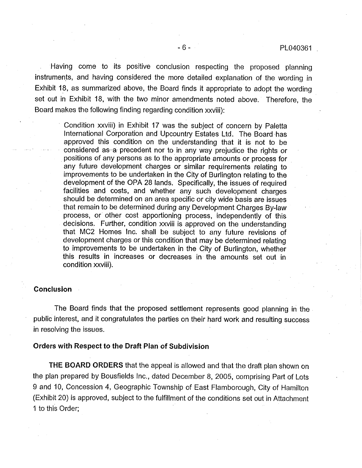Having come to its positive conclusion respecting the proposed planning instruments, and having considered the more detailed explanation of the wording in Exhibit 18, as summarized above, the Board finds it appropriate to adopt the wording set out in Exhibit 18, with the two minor amendments noted above. Therefore, the Board makes the following finding regarding condition xxviii):

> Condition xxviii) in Exhibit 17 was the subject of concern by Paletta International Corporation and Upcountry Estates Ltd. The Board has approved this condition on the understanding that it is not to be considered as a precedent nor to in any way prejudice the rights or positions of any persons as to the appropriate amounts or process for any future development charges or similar requirements relating to improvements to be undertaken in the City of Burlington relating to the development of the OPA 28 lands. Specifically, the issues of required facilities and costs, and whether any such development charges should be determined on an area specific or city wide basis are issues that remain to be determined during any Development Charges By-law process, or other cost apportioning process, independently of this decisions. Further, condition xxviii is approved on the understanding that MC2 Homes Inc. shall be subject to any future revisions of development charges or this condition that may be determined relating to improvements to be undertaken in the City of Burlington, whether this results in increases or decreases in the amounts set out in condition xxviii).

#### Conclusion

The Board finds that the proposed settlement represents good planning in the public interest, and it congratulates the parties on their hard work and resulting success in resolving the issues.

#### Orders with Respect to the Draft Plan of Subdivision

THE BOARD ORDERS that the appeal is allowed and that the draft plan shown on the plan prepared by Bousfields Inc., dated December 8, 2005, comprising Part of Lots 9 and 10, Concession 4, Geographic Township of East Flamborough, City of Hamilton (Exhibit 20) is approved, subject to the fulfillment of the conditions set out in Attachment 1 to this Order;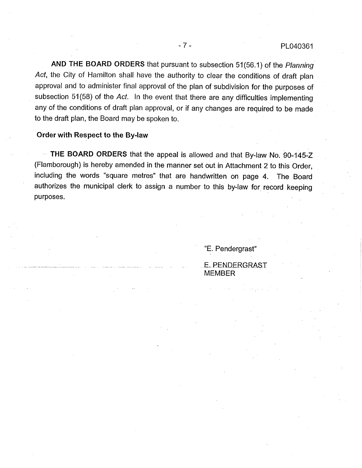AND THE BOARD ORDERS that pursuant to subsection 51(56.1) of the Planning Act, the City of Hamilton shall have the authority to clear the conditions of draft plan approval and to administer final approval of the plan of subdivision for the purposes of subsection 51(58) of the Act. In the event that there are any difficulties implementing any of the conditions of draft plan approval, or if any changes are required to be made to the draft plan, the Board may be spoken to.

#### Order with Respect to the By-law

THE BOARD ORDERS that the appeal is allowed and that By-law No. 90-145-Z (Flamborough) is hereby amended in the manner set out in Attachment 2 to this Order, including the words "square metres" that are handwritten on page 4. The Board authorizes the municipal clerk to assign a number to this by-law for record keeping purposes.

"E. Pendergrast"

E. PENDERGRAS\_T MEMBER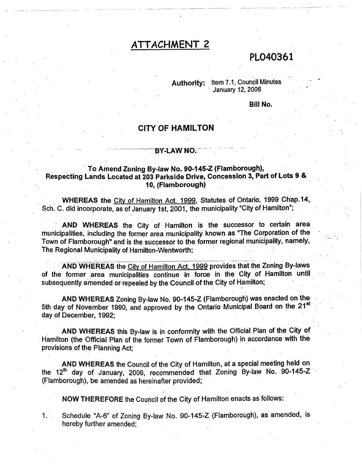# ATTACHMENT 2

# PL040361

Authority: Item 7.1, Council Minutes • January 12, 2006

#### Bill No.

### CITY OF HAMILTON

#### BY-LAW NO.

#### To Amend Zoning By-law No. 90-145-Z (Flamborough), Respecting Lands Located at 203 Parkside Drive, Concession 3, Part of Lots 9 & t0, (Flamborough)

WHEREAS the City of Hamilton Act. 1999, Statutes of Ontario, 1999 Chap.14, Sch. C. did incorporate, as of January 1st, 2001, the municipality "City of Hamilton";

AND WHEREAS the City of Hamilton is the successor to certain area municipalities, including the former area municipality known as "The Corporation of the Town of Flamborough" and is the successor to the former regional municipality, namely, The Regional Municipality of Hamilton-Wentworth; . •

AND WHEREAS the City of Hamilton Act, 1999 provides that the Zoning By-laws of the former area municipalities continue in force in the City. of Hamilton until subsequently amended or repealed by the Council of the City of Hamilton;

AND WHEREAS Zoning By-law No. 90-145-Z (Flamborough) was enacted onthe 5th day of November 1990, and approved by the Ontario Municipal Board on the 21<sup>st</sup> day of December, 1992;

AND WHEREAS this By-law is in conformity with the Official Plan of the City of • Hamilton (the Official Plan of the former Town of Flamborough) in accordance with the provisions of the Planning Act;

AND WHEREAS the Council of the City of Hamilton, at a special meeting held on the  $12<sup>th</sup>$  day of January, 2006, recommended that Zoning By-law No. 90-145-Z (Flamborough), be amended as hereinafter provided;

NOW THEREFORE the Council of the City of Hamilton enacts as follows:

 $1.1$ Schedule "A-6" of Zoning By-law No. 90-145-Z (Flamborough), as amended, is hereby further amended;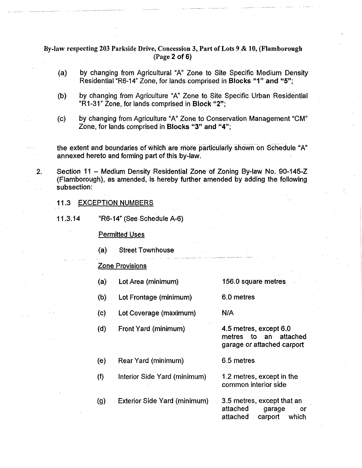By-law respecting 203 Parkside Drive, Concession 3, Part of Lots 9 & 10, (Flamborough (Page 2 of 6)

- (a) by changing from Agricultural "A" Zone to Site Specific Medium Density Residential "R6-14" Zone, for lands comprised in Blocks "1" and "5";
- (b) by changing from Agriculture "A" Zone to Site Specific Urban Residential "R1-31" Zone, for lands comprised in Block "2";
- (c) by changing from Agriculture "A" Zone to Conservation Management "CM" Zone, for lands comprised in Blocks "3" and "4";

the extent and boundaries of which are more particularly shown on Schedule "A" annexed hereto and forming part of this by-law.

2. Section 11 - Medium Density Residential Zone of Zoning By-law No. 90-145-Z (Flamborough), as amended, is hereby further amended by adding the following subsection:

#### 11.3 EXCEPTION NUMBERS

11.3.14 "R6-14" (See Schedule A-6)

Permitted Uses

(a) Street Townhouse

#### Zone Provisions

- (a) Lot Area (minimum)
- (b) Lot Frontage (minimum)
- (c) Lot Coverage (maximum)
- (d) Front Yard (minimum)

156.0 square metres

6.0 metres

6.5 metres

N/A

4.5 metres, except 6.0 metres to an attached garage or attached carport

- (e) Rear Yard (minimum)
- (f) Interior Side Yard (minimum)
- (g) Exterior Side Yard (minimum) 3.5 metres, except that an

1.2 metres, except in the common interior side

attached garage or attached carport which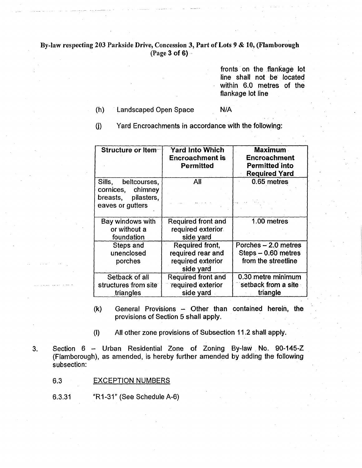#### By-law respecting 203 Parkside Drive, Concession 3, Part of Lots 9 & 10, (Flamborough (Page 3 of 6) $\sim$

fronts on the flankage lot line shall not-be located within 6.0 metres of the flankage lot line

#### (h) Landscaped Open Space N/A

 $(j)$ 

Yard Encroachments in accordance with the following:

| Structure or Item-                                                                  | <b>Yard Into Which</b><br><b>Encroachment is</b><br>Permitted | <b>Maximum</b><br><b>Encroachment</b><br><b>Permitted into</b><br><b>Required Yard</b> |
|-------------------------------------------------------------------------------------|---------------------------------------------------------------|----------------------------------------------------------------------------------------|
| Sills, beltcourses,<br>cornices, chimney<br>breasts, pilasters,<br>eaves or gutters | All                                                           | 0.65 metres                                                                            |
| Bay windows with                                                                    | Required front and                                            | 1.00 metres                                                                            |
| or without a<br>foundation                                                          | required exterior<br>side yard                                |                                                                                        |
| Steps and                                                                           | Required front,                                               | Porches - 2.0 metres                                                                   |
| unenclosed                                                                          | required rear and                                             | $Steps - 0.60$ metres                                                                  |
| porches                                                                             | required exterior<br>side yard                                | from the streetline                                                                    |
| Setback of all                                                                      | Required front and                                            | 0.30 metre minimum                                                                     |
| structures from site                                                                | required exterior                                             | setback from a site                                                                    |
| triangles                                                                           | side yard                                                     | triangle                                                                               |

- (k) General Provisions Other than contained herein, the provisions of Section 5 shall apply.
- (I) All other zone provisions of Subsection 11.2 shall apply.
- 3, Section 6 Urban Residential Zone of Zoning By-law No. 90-145-Z (Flamborough), as amended, is hereby further amended by adding the following subsection:
	- 6.3 EXCEPTION NUMBERS
	- 6.3.31 "R1-31" (See Schedule A-6)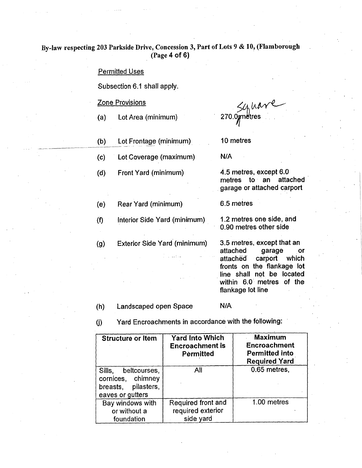### By-law respecting 203 Parkside Drive, Concession 3, Part of Lots 9 & 10, (Flamborough (Page 4 of 6)

#### Permitted Uses

Subsection 6.1 shall apply.

#### Zone Provisions

(e)

(f)

(g)

- (a) Lot Area (minimum)
- (b) Lot Frontage (minimum).
- (c) Lot Coverage (maximum)

Rear Yard (minimum)

(d) Front Yard (minimum)

 $54$  have

10 metres

N/A

4.5 metres, except 6.0 metres to an attached garage or attached carport

6.5 metres

Interior Side Yard (minimum) 1.2 metres one side, and 0.90 metres other side

Exterior Side Yard (minimum) 3.5 metres, except that an attached garage or attached carport which fronts on the flankage lot line shall not be located within 6.0 metres of the flankage lot line

#### (h) Landscaped open Space N/A

(J) Yard Encroachments in accordance with the following:

| <b>Structure or Item</b>                                                            | <b>Yard Into Which</b><br><b>Encroachment is</b><br>Permitted | <b>Maximum</b><br><b>Encroachment</b><br><b>Permitted into</b><br><b>Required Yard</b> |
|-------------------------------------------------------------------------------------|---------------------------------------------------------------|----------------------------------------------------------------------------------------|
| Sills, beltcourses,<br>cornices, chimney<br>breasts, pilasters,<br>eaves or gutters | All                                                           | 0.65 metres,                                                                           |
| Bay windows with<br>or without a<br>foundation                                      | Required front and<br>required exterior<br>side yard          | 1.00 metres                                                                            |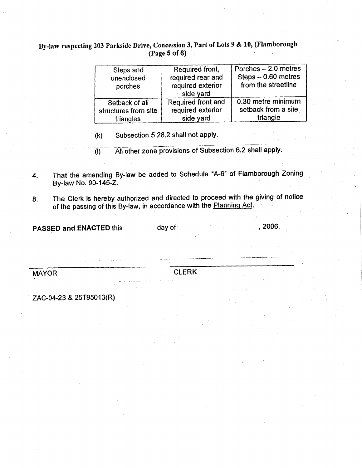## By-law respecting 203 Parkside Drive, Concession 3, Part of Lots 9 & 10, (Flamborough (Page 5 of 6)

| Steps and<br>unenclosed<br>porches | Required front,<br>required rear and<br>required exterior<br>side yard | Porches - 2.0 metres<br>Steps - 0.60 metres<br>from the streetline |
|------------------------------------|------------------------------------------------------------------------|--------------------------------------------------------------------|
| Setback of all                     | Required front and                                                     | 0.30 metre minimum                                                 |
| structures from site               | required exterior                                                      | setback from a site                                                |
| triangles                          | side yard                                                              | triangle                                                           |

Subsection 5.28.2 shall not apply.  $(k)$ 

All other zone provisions of Subsection 6.2 shall apply.  $\overline{(\mathbb{I})}$ 

4, That the amending By-law be added to Schedule "A-6" of Flamborough Zoning By-law No. 90-145-Z.

8. The Clerk is hereby authorized and directed to proceed with the giving of notice of the passing of this By-law, in accordance with the Planning Act.

PASSED and ENACTED this day of the control of the control of the control of the control of the control of the control of the control of the control of the control of the control of the control of the control of the control

MAYOR CLERK

• ZAC-04-23 & 25T95013(R)